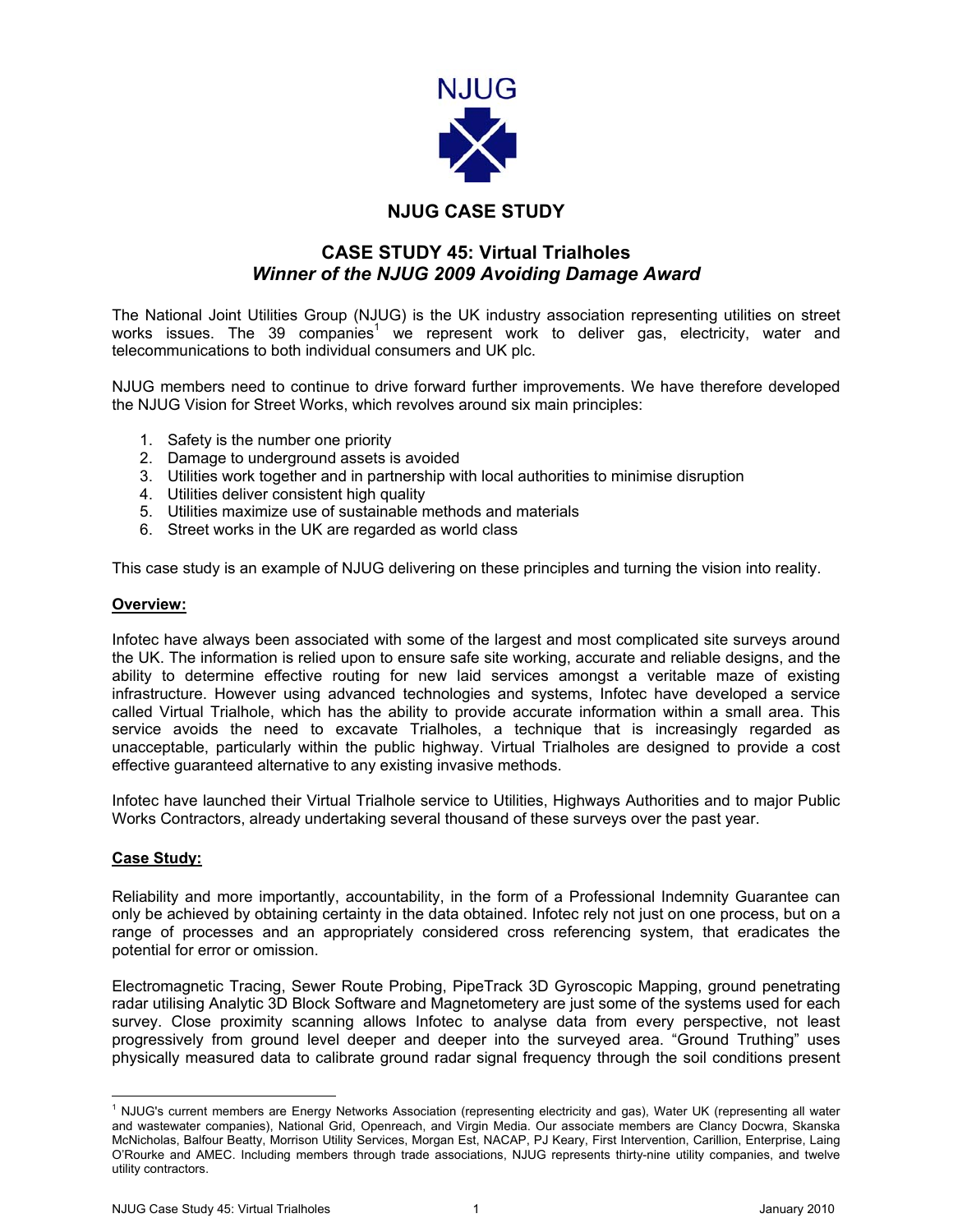

## **NJUG CASE STUDY**

## **CASE STUDY 45: Virtual Trialholes**  *Winner of the NJUG 2009 Avoiding Damage Award*

The National Joint Utilities Group (NJUG) is the UK industry association representing utilities on street works issues. The 39 companies<sup>[1](#page-0-0)</sup> we represent work to deliver gas, electricity, water and telecommunications to both individual consumers and UK plc.

NJUG members need to continue to drive forward further improvements. We have therefore developed the NJUG Vision for Street Works, which revolves around six main principles:

- 1. Safety is the number one priority
- 2. Damage to underground assets is avoided
- 3. Utilities work together and in partnership with local authorities to minimise disruption
- 4. Utilities deliver consistent high quality
- 5. Utilities maximize use of sustainable methods and materials
- 6. Street works in the UK are regarded as world class

This case study is an example of NJUG delivering on these principles and turning the vision into reality.

## **Overview:**

Infotec have always been associated with some of the largest and most complicated site surveys around the UK. The information is relied upon to ensure safe site working, accurate and reliable designs, and the ability to determine effective routing for new laid services amongst a veritable maze of existing infrastructure. However using advanced technologies and systems, Infotec have developed a service called Virtual Trialhole, which has the ability to provide accurate information within a small area. This service avoids the need to excavate Trialholes, a technique that is increasingly regarded as unacceptable, particularly within the public highway. Virtual Trialholes are designed to provide a cost effective guaranteed alternative to any existing invasive methods.

Infotec have launched their Virtual Trialhole service to Utilities, Highways Authorities and to major Public Works Contractors, already undertaking several thousand of these surveys over the past year.

## **Case Study:**

Reliability and more importantly, accountability, in the form of a Professional Indemnity Guarantee can only be achieved by obtaining certainty in the data obtained. Infotec rely not just on one process, but on a range of processes and an appropriately considered cross referencing system, that eradicates the potential for error or omission.

Electromagnetic Tracing, Sewer Route Probing, PipeTrack 3D Gyroscopic Mapping, ground penetrating radar utilising Analytic 3D Block Software and Magnetometery are just some of the systems used for each survey. Close proximity scanning allows Infotec to analyse data from every perspective, not least progressively from ground level deeper and deeper into the surveyed area. "Ground Truthing" uses physically measured data to calibrate ground radar signal frequency through the soil conditions present

<span id="page-0-0"></span> $\frac{1}{1}$  $1$  NJUG's current members are Energy Networks Association (representing electricity and gas), Water UK (representing all water and wastewater companies), National Grid, Openreach, and Virgin Media. Our associate members are Clancy Docwra, Skanska McNicholas, Balfour Beatty, Morrison Utility Services, Morgan Est, NACAP, PJ Keary, First Intervention, Carillion, Enterprise, Laing O'Rourke and AMEC. Including members through trade associations, NJUG represents thirty-nine utility companies, and twelve utility contractors.